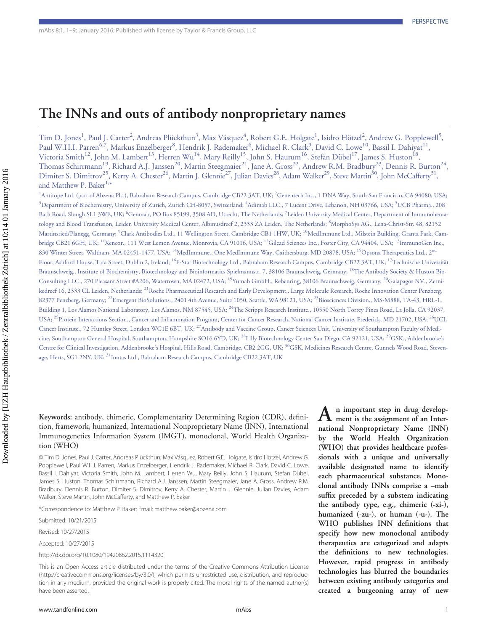# The INNs and outs of antibody nonproprietary names

Tim D. Jones<sup>1</sup>, Paul J. Carter<sup>2</sup>, Andreas Plückthun<sup>3</sup>, Max Vásquez<sup>4</sup>, Robert G.E. Holgate<sup>1</sup>, Isidro Hötzel<sup>2</sup>, Andrew G. Popplewell<sup>5</sup>, Paul W.H.I. Parren<sup>6,7</sup>, Markus Enzelberger<sup>8</sup>, Hendrik J. Rademaker<sup>6</sup>, Michael R. Clark<sup>9</sup>, David C. Lowe<sup>10</sup>, Bassil I. Dahiyat<sup>11</sup>, Victoria Smith<sup>12</sup>, John M. Lambert<sup>13</sup>, Herren Wu<sup>14</sup>, Mary Reilly<sup>15</sup>, John S. Haurum<sup>16</sup>, Stefan Dübel<sup>17</sup>, James S. Huston<sup>18</sup>, Thomas Schirrmann<sup>19</sup>, Richard A.J. Janssen<sup>20</sup>, Martin Steegmaier<sup>21</sup>, Jane A. Gross<sup>22</sup>, Andrew R.M. Bradbury<sup>23</sup>, Dennis R. Burton<sup>24</sup>, Dimiter S. Dimitrov<sup>25</sup>, Kerry A. Chester<sup>26</sup>, Martin J. Glennie<sup>27</sup>, Julian Davies<sup>28</sup>, Adam Walker<sup>29</sup>, Steve Martin<sup>30</sup>, John McCafferty<sup>31</sup> and Matthew P. Baker<sup>1,\*</sup>

<sup>1</sup>Antitope Ltd. (part of Abzena Plc.), Babraham Research Campus, Cambridge CB22 3AT, UK; <sup>2</sup>Genentech Inc., 1 DNA Way, South San Francisco, CA 94080, USA; 3 Department of Biochemistry, University of Zurich, Zurich CH-8057, Switzerland; <sup>4</sup> Adimab LLC., 7 Lucent Drive, Lebanon, NH 03766, USA; <sup>5</sup> UCB Pharma., 208 Bath Road, Slough SL1 3WE, UK; <sup>6</sup>Genmab, PO Box 85199, 3508 AD, Utrecht, The Netherlands; <sup>7</sup>Leiden University Medical Center, Department of Immunohematology and Blood Transfusion, Leiden University Medical Center, Albinusdreef 2, 2333 ZA Leiden, The Netherlands; <sup>8</sup>MorphoSys AG., Lena-Christ-Str. 48, 82152 Martinsried/Planegg, Germany; <sup>9</sup>Clark Antibodies Ltd., 11 Wellington Street, Cambridge CB1 1HW, UK; <sup>10</sup>MedImmune Ltd., Milstein Building, Granta Park, Cambridge CB21 6GH, UK; <sup>11</sup>Xencor., 111 West Lemon Avenue, Monrovia, CA 91016, USA; <sup>12</sup>Gilead Sciences Inc., Foster City, CA 94404, USA; <sup>13</sup>ImmunoGen Inc., 830 Winter Street, Waltham, MA 02451-1477, USA; <sup>14</sup>MedImmune., One MedImmune Way, Gaithersburg, MD 20878, USA; <sup>15</sup>Opsona Therapeutics Ltd., 2<sup>nd</sup> Floor, Ashford House, Tara Street, Dublin 2, Ireland; <sup>16</sup>F-Star Biotechnology Ltd., Babraham Research Campus, Cambridge CB22 3AT, UK; <sup>17</sup>Technische Universität Braunschweig., Institute of Biochemistry, Biotechnology and Bioinformatics Spielmannstr. 7, 38106 Braunschweig, Germany; <sup>18</sup>The Antibody Society & Huston Bio-Consulting LLC., 270 Pleasant Street #A206, Watertown, MA 02472, USA; 19Yumab GmbH., Rebenring, 38106 Braunschweig, Germany; 20Galapagos NV., Zernikedreef 16, 2333 CL Leiden, Netherlands; <sup>21</sup>Roche Pharmaceutical Research and Early Development,. Large Molecule Research, Roche Innovation Center Penzberg, 82377 Penzberg, Germany; <sup>22</sup>Emergent BioSolutions., 2401 4th Avenue, Suite 1050, Seattle, WA 98121, USA; <sup>23</sup>Biosciences Division., MS-M888, TA-43, HRL-1, Building 1, Los Alamos National Laboratory, Los Alamos, NM 87545, USA; <sup>24</sup>The Scripps Research Institute., 10550 North Torrey Pines Road, La Jolla, CA 92037, USA; 25Protein Interactions Section., Cancer and Inflammation Program, Center for Cancer Research, National Cancer Institute, Frederick, MD 21702, USA; 26UCL Cancer Institute., 72 Huntley Street, London WC1E 6BT, UK; 27Antibody and Vaccine Group, Cancer Sciences Unit, University of Southampton Faculty of Medicine, Southampton General Hospital, Southampton, Hampshire SO16 6YD, UK; <sup>28</sup>Lilly Biotechnology Center San Diego, CA 92121, USA; <sup>29</sup>GSK., Addenbrooke's Centre for Clinical Investigation, Addenbrooke's Hospital, Hills Road, Cambridge, CB2 2GG, UK; <sup>30</sup>GSK, Medicines Research Centre, Gunnels Wood Road, Stevenage, Herts, SG1 2NY, UK; <sup>31</sup>Iontas Ltd., Babraham Research Campus, Cambridge CB22 3AT, UK

Keywords: antibody, chimeric, Complementarity Determining Region (CDR), definition, framework, humanized, International Nonproprietary Name (INN), International Immunogenetics Information System (IMGT), monoclonal, World Health Organization (WHO)

© Tim D. Jones, Paul J. Carter, Andreas Plückthun, Max Vásquez, Robert G.E. Holgate, Isidro Hötzel, Andrew G. Popplewell, Paul W.H.I. Parren, Markus Enzelberger, Hendrik J. Rademaker, Michael R. Clark, David C. Lowe, Bassil I. Dahiyat, Victoria Smith, John M. Lambert, Herren Wu, Mary Reilly, John S. Haurum, Stefan Dübel, James S. Huston, Thomas Schirrmann, Richard A.J. Janssen, Martin Steegmaier, Jane A. Gross, Andrew R.M. Bradbury, Dennis R. Burton, Dimiter S. Dimitrov, Kerry A. Chester, Martin J. Glennie, Julian Davies, Adam Walker, Steve Martin, John McCafferty, and Matthew P. Baker

\*Correspondence to: Matthew P. Baker; Email: matthew.baker@abzena.com

Submitted: 10/21/2015

Revised: 10/27/2015

Accepted: 10/27/2015

http://dx.doi.org/10.1080/19420862.2015.1114320

This is an Open Access article distributed under the terms of the Creative Commons Attribution License ([http://creativecommons.org/licenses/by/3.0/\)](http://creativecommons.org/licenses/by/3.0/), which permits unrestricted use, distribution, and reproduction in any medium, provided the original work is properly cited. The moral rights of the named author(s) have been asserted.

A n important step in drug develop-<br>ment is the assignment of an International Nonproprietary Name (INN) by the World Health Organization (WHO) that provides healthcare professionals with a unique and universally available designated name to identify each pharmaceutical substance. Monoclonal antibody INNs comprise a –mab suffix preceded by a substem indicating the antibody type, e.g., chimeric (-xi-), humanized (-zu-), or human (-u-). The WHO publishes INN definitions that specify how new monoclonal antibody therapeutics are categorized and adapts the definitions to new technologies. However, rapid progress in antibody technologies has blurred the boundaries between existing antibody categories and created a burgeoning array of new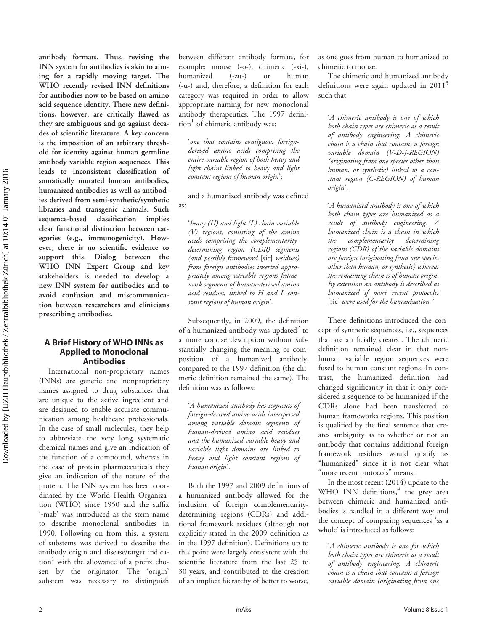Downloaded by [UZH Hauptbibliothek / Zentralbibliothek Zürich] at 10:14 01 January 2016 Downloaded by [UZH Hauptbibliothek / Zentralbibliothek Zürich] at 10:14 01 January 2016 antibody formats. Thus, revising the INN system for antibodies is akin to aiming for a rapidly moving target. The WHO recently revised INN definitions for antibodies now to be based on amino acid sequence identity. These new definitions, however, are critically flawed as they are ambiguous and go against decades of scientific literature. A key concern is the imposition of an arbitrary threshold for identity against human germline antibody variable region sequences. This leads to inconsistent classification of somatically mutated human antibodies, humanized antibodies as well as antibodies derived from semi-synthetic/synthetic libraries and transgenic animals. Such sequence-based classification implies clear functional distinction between categories (e.g., immunogenicity). However, there is no scientific evidence to support this. Dialog between the WHO INN Expert Group and key stakeholders is needed to develop a new INN system for antibodies and to avoid confusion and miscommunication between researchers and clinicians prescribing antibodies.

#### A Brief History of WHO INNs as Applied to Monoclonal Antibodies

International non-proprietary names (INNs) are generic and nonproprietary names assigned to drug substances that are unique to the active ingredient and are designed to enable accurate communication among healthcare professionals. In the case of small molecules, they help to abbreviate the very long systematic chemical names and give an indication of the function of a compound, whereas in the case of protein pharmaceuticals they give an indication of the nature of the protein. The INN system has been coordinated by the World Health Organization (WHO) since 1950 and the suffix '-mab' was introduced as the stem name to describe monoclonal antibodies in 1990. Following on from this, a system of substems was derived to describe the antibody origin and disease/target indica- $\text{tion}^1$  with the allowance of a prefix chosen by the originator. The 'origin' substem was necessary to distinguish between different antibody formats, for example: mouse (-o-), chimeric (-xi-), humanized (-zu-) or human (-u-) and, therefore, a definition for each category was required in order to allow appropriate naming for new monoclonal antibody therapeutics. The 1997 defini- $\text{tion}^1$  of chimeric antibody was:

'one that contains contiguous foreignderived amino acids comprising the entire variable region of both heavy and light chains linked to heavy and light constant regions of human origin';

and a humanized antibody was defined as:

'heavy (H) and light (L) chain variable (V) regions, consisting of the amino acids comprising the complementaritydetermining region (CDR) segments (and possibly frameword [sic] residues) from foreign antibodies inserted appropriately among variable regions framework segments of human-derived amino acid residues, linked to H and L constant regions of human origin'.

Subsequently, in 2009, the definition of a humanized antibody was updated $\sim$  to a more concise description without substantially changing the meaning or composition of a humanized antibody, compared to the 1997 definition (the chimeric definition remained the same). The definition was as follows:

'A humanized antibody has segments of foreign-derived amino acids interspersed among variable domain segments of human-derived amino acid residues and the humanized variable heavy and variable light domains are linked to heavy and light constant regions of human origin'.

Both the 1997 and 2009 definitions of a humanized antibody allowed for the inclusion of foreign complementaritydetermining regions (CDRs) and additional framework residues (although not explicitly stated in the 2009 definition as in the 1997 definition). Definitions up to this point were largely consistent with the scientific literature from the last 25 to 30 years, and contributed to the creation of an implicit hierarchy of better to worse,

as one goes from human to humanized to chimeric to mouse.

The chimeric and humanized antibody definitions were again updated in  $2011<sup>3</sup>$ such that:

'A chimeric antibody is one of which both chain types are chimeric as a result of antibody engineering. A chimeric chain is a chain that contains a foreign variable domain (V-D-J-REGION) (originating from one species other than human, or synthetic) linked to a constant region (C-REGION) of human origin';

'A humanized antibody is one of which both chain types are humanized as a result of antibody engineering. A humanized chain is a chain in which<br>the complementarity determining the complementarity regions (CDR) of the variable domains are foreign (originating from one species other than human, or synthetic) whereas the remaining chain is of human origin. By extension an antibody is described as humanized if more recent protocoles [sic] were used for the humanization.'

These definitions introduced the concept of synthetic sequences, i.e., sequences that are artificially created. The chimeric definition remained clear in that nonhuman variable region sequences were fused to human constant regions. In contrast, the humanized definition had changed significantly in that it only considered a sequence to be humanized if the CDRs alone had been transferred to human frameworks regions. This position is qualified by the final sentence that creates ambiguity as to whether or not an antibody that contains additional foreign framework residues would qualify as "humanized" since it is not clear what "more recent protocols" means.

In the most recent (2014) update to the WHO INN definitions,<sup>4</sup> the grey area between chimeric and humanized antibodies is handled in a different way and the concept of comparing sequences 'as a whole' is introduced as follows:

'A chimeric antibody is one for which both chain types are chimeric as a result of antibody engineering. A chimeric chain is a chain that contains a foreign variable domain (originating from one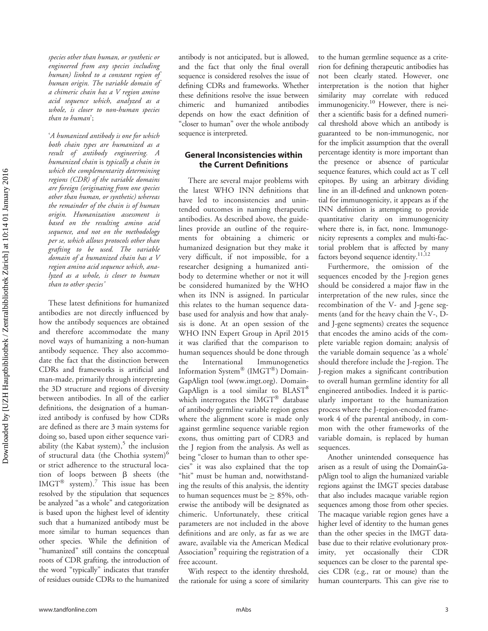species other than human, or synthetic or engineered from any species including human) linked to a constant region of human origin. The variable domain of a chimeric chain has a V region amino acid sequence which, analyzed as a whole, is closer to non-human species than to human';

'A humanized antibody is one for which both chain types are humanized as a result of antibody engineering. A humanized chain is typically a chain in which the complementarity determining regions (CDR) of the variable domains are foreign (originating from one species other than human, or synthetic) whereas the remainder of the chain is of human origin. Humanization assessment is based on the resulting amino acid sequence, and not on the methodology per se, which allows protocols other than grafting to be used. The variable domain of a humanized chain has a V region amino acid sequence which, analyzed as a whole, is closer to human than to other species'

These latest definitions for humanized antibodies are not directly influenced by how the antibody sequences are obtained and therefore accommodate the many novel ways of humanizing a non-human antibody sequence. They also accommodate the fact that the distinction between CDRs and frameworks is artificial and man-made, primarily through interpreting the 3D structure and regions of diversity between antibodies. In all of the earlier definitions, the designation of a humanized antibody is confused by how CDRs are defined as there are 3 main systems for doing so, based upon either sequence variability (the Kabat system), $5$  the inclusion of structural data (the Chothia system)<sup>6</sup> or strict adherence to the structural location of loops between  $\beta$  sheets (the  $IMGT^®$  system).<sup>7</sup> This issue has been resolved by the stipulation that sequences be analyzed "as a whole" and categorization is based upon the highest level of identity such that a humanized antibody must be more similar to human sequences than other species. While the definition of "humanized" still contains the conceptual roots of CDR grafting, the introduction of the word "typically" indicates that transfer of residues outside CDRs to the humanized

antibody is not anticipated, but is allowed, and the fact that only the final overall sequence is considered resolves the issue of defining CDRs and frameworks. Whether these definitions resolve the issue between chimeric and humanized antibodies depends on how the exact definition of "closer to human" over the whole antibody sequence is interpreted.

# General Inconsistencies within the Current Definitions

There are several major problems with the latest WHO INN definitions that have led to inconsistencies and unintended outcomes in naming therapeutic antibodies. As described above, the guidelines provide an outline of the requirements for obtaining a chimeric or humanized designation but they make it very difficult, if not impossible, for a researcher designing a humanized antibody to determine whether or not it will be considered humanized by the WHO when its INN is assigned. In particular this relates to the human sequence database used for analysis and how that analysis is done. At an open session of the WHO INN Expert Group in April 2015 it was clarified that the comparison to human sequences should be done through the International Immunogenetics Information System® (IMGT®) Domain-GapAlign tool (www.imgt.org). Domain-GapAlign is a tool similar to BLAST<sup>8</sup> which interrogates the IMGT<sup>®</sup> database of antibody germline variable region genes where the alignment score is made only against germline sequence variable region exons, thus omitting part of CDR3 and the J region from the analysis. As well as being "closer to human than to other species" it was also explained that the top "hit" must be human and, notwithstanding the results of this analysis, the identity to human sequences must be  $\geq$  85%, otherwise the antibody will be designated as chimeric. Unfortunately, these critical parameters are not included in the above definitions and are only, as far as we are aware, available via the American Medical Association<sup>9</sup> requiring the registration of a free account.

With respect to the identity threshold, the rationale for using a score of similarity

to the human germline sequence as a criterion for defining therapeutic antibodies has not been clearly stated. However, one interpretation is the notion that higher similarity may correlate with reduced immunogenicity.<sup>10</sup> However, there is neither a scientific basis for a defined numerical threshold above which an antibody is guaranteed to be non-immunogenic, nor for the implicit assumption that the overall percentage identity is more important than the presence or absence of particular sequence features, which could act as T cell epitopes. By using an arbitrary dividing line in an ill-defined and unknown potential for immunogenicity, it appears as if the INN definition is attempting to provide quantitative clarity on immunogenicity where there is, in fact, none. Immunogenicity represents a complex and multi-factorial problem that is affected by many factors beyond sequence identity.<sup>11,12</sup>

Furthermore, the omission of the sequences encoded by the J-region genes should be considered a major flaw in the interpretation of the new rules, since the recombination of the V- and J-gene segments (and for the heavy chain the V-, Dand J-gene segments) creates the sequence that encodes the amino acids of the complete variable region domain; analysis of the variable domain sequence 'as a whole' should therefore include the J-region. The J-region makes a significant contribution to overall human germline identity for all engineered antibodies. Indeed it is particularly important to the humanization process where the J-region-encoded framework 4 of the parental antibody, in common with the other frameworks of the variable domain, is replaced by human sequences.

Another unintended consequence has arisen as a result of using the DomainGapAlign tool to align the humanized variable regions against the IMGT species database that also includes macaque variable region sequences among those from other species. The macaque variable region genes have a higher level of identity to the human genes than the other species in the IMGT database due to their relative evolutionary proximity, yet occasionally their CDR sequences can be closer to the parental species CDR (e.g., rat or mouse) than the human counterparts. This can give rise to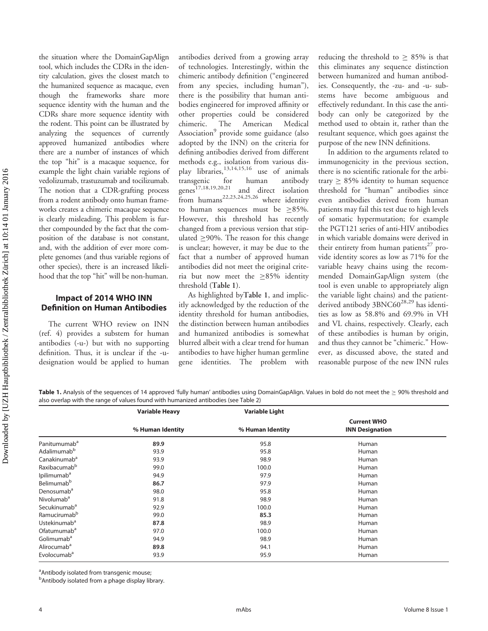the situation where the DomainGapAlign tool, which includes the CDRs in the identity calculation, gives the closest match to the humanized sequence as macaque, even though the frameworks share more sequence identity with the human and the CDRs share more sequence identity with the rodent. This point can be illustrated by analyzing the sequences of currently approved humanized antibodies where there are a number of instances of which the top "hit" is a macaque sequence, for example the light chain variable regions of vedolizumab, trastuzumab and tocilizumab. The notion that a CDR-grafting process from a rodent antibody onto human frameworks creates a chimeric macaque sequence is clearly misleading. This problem is further compounded by the fact that the composition of the database is not constant, and, with the addition of ever more complete genomes (and thus variable regions of other species), there is an increased likelihood that the top "hit" will be non-human.

## Impact of 2014 WHO INN Definition on Human Antibodies

The current WHO review on INN (ref. 4) provides a substem for human antibodies (-u-) but with no supporting definition. Thus, it is unclear if the -udesignation would be applied to human

antibodies derived from a growing array of technologies. Interestingly, within the chimeric antibody definition ("engineered from any species, including human"), there is the possibility that human antibodies engineered for improved affinity or other properties could be considered chimeric. The American Medical Association<sup>9</sup> provide some guidance (also adopted by the INN) on the criteria for defining antibodies derived from different methods e.g., isolation from various display libraries,13,14,15,16 use of animals transgenic for human antibody<br>genes<sup>17,18,19,20,21</sup> and direct isolation and direct isolation from humans<sup>22,23,24,25,26</sup> where identity to human sequences must be  $\geq 85\%$ . However, this threshold has recently changed from a previous version that stipulated  $\geq$ 90%. The reason for this change is unclear; however, it may be due to the fact that a number of approved human antibodies did not meet the original criteria but now meet the  $\geq 85\%$  identity threshold (Table 1).

As highlighted byTable 1, and implicitly acknowledged by the reduction of the identity threshold for human antibodies, the distinction between human antibodies and humanized antibodies is somewhat blurred albeit with a clear trend for human antibodies to have higher human germline gene identities. The problem with

reducing the threshold to  $\geq$  85% is that this eliminates any sequence distinction between humanized and human antibodies. Consequently, the -zu- and -u- substems have become ambiguous and effectively redundant. In this case the antibody can only be categorized by the method used to obtain it, rather than the resultant sequence, which goes against the purpose of the new INN definitions.

In addition to the arguments related to immunogenicity in the previous section, there is no scientific rationale for the arbitrary  $> 85\%$  identity to human sequence threshold for "human" antibodies since even antibodies derived from human patients may fail this test due to high levels of somatic hypermutation; for example the PGT121 series of anti-HIV antibodies in which variable domains were derived in their entirety from human patients<sup>27</sup> provide identity scores as low as 71% for the variable heavy chains using the recommended DomainGapAlign system (the tool is even unable to appropriately align the variable light chains) and the patientderived antibody 3BNC60<sup>28,29</sup> has identities as low as 58.8% and 69.9% in VH and VL chains, respectively. Clearly, each of these antibodies is human by origin, and thus they cannot be "chimeric." However, as discussed above, the stated and reasonable purpose of the new INN rules

Table 1. Analysis of the sequences of 14 approved 'fully human' antibodies using DomainGapAlign. Values in bold do not meet the  $\geq 90\%$  threshold and also overlap with the range of values found with humanized antibodies (see Table 2)

|                          | <b>Variable Heavy</b> | <b>Variable Light</b> |                                              |  |
|--------------------------|-----------------------|-----------------------|----------------------------------------------|--|
|                          | % Human Identity      | % Human Identity      | <b>Current WHO</b><br><b>INN Designation</b> |  |
| Panitumumab <sup>a</sup> | 89.9                  | 95.8                  | Human                                        |  |
| Adalimumab <sup>b</sup>  | 93.9                  | 95.8                  | Human                                        |  |
| Canakinumab <sup>a</sup> | 93.9                  | 98.9                  | Human                                        |  |
| Raxibacumab <sup>b</sup> | 99.0                  | 100.0                 | Human                                        |  |
| Ipilimumab <sup>a</sup>  | 94.9                  | 97.9                  | Human                                        |  |
| Belimumab <sup>b</sup>   | 86.7                  | 97.9                  | Human                                        |  |
| Denosumab <sup>a</sup>   | 98.0                  | 95.8                  | Human                                        |  |
| Nivolumab <sup>a</sup>   | 91.8                  | 98.9                  | Human                                        |  |
| Secukinumab <sup>a</sup> | 92.9                  | 100.0                 | Human                                        |  |
| Ramucirumab <sup>b</sup> | 99.0                  | 85.3                  | Human                                        |  |
| Ustekinumab <sup>a</sup> | 87.8                  | 98.9                  | Human                                        |  |
| Ofatumumab <sup>a</sup>  | 97.0                  | 100.0                 | Human                                        |  |
| Golimumab <sup>a</sup>   | 94.9                  | 98.9                  | Human                                        |  |
| Alirocumab <sup>a</sup>  | 89.8                  | 94.1                  | Human                                        |  |
| Evolocumab <sup>a</sup>  | 93.9                  | 95.9                  | Human                                        |  |

<sup>a</sup>Antibody isolated from transgenic mouse;

<sup>b</sup>Antibody isolated from a phage display library.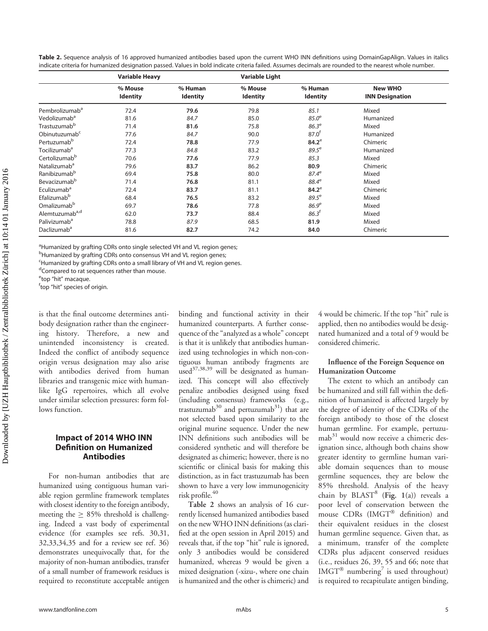|                            | <b>Variable Heavy</b>      |                            | <b>Variable Light</b>      |                            |                                          |  |  |
|----------------------------|----------------------------|----------------------------|----------------------------|----------------------------|------------------------------------------|--|--|
|                            | % Mouse<br><b>Identity</b> | % Human<br><b>Identity</b> | % Mouse<br><b>Identity</b> | % Human<br><b>Identity</b> | <b>New WHO</b><br><b>INN Designation</b> |  |  |
| Pembrolizumab <sup>a</sup> | 72.4                       | 79.6                       | 79.8                       | 85.1                       | Mixed                                    |  |  |
| Vedolizumab <sup>a</sup>   | 81.6                       | 84.7                       | 85.0                       | $85.0^\circ$               | Humanized                                |  |  |
| Trastuzumab <sup>b</sup>   | 71.4                       | 81.6                       | 75.8                       | $86.3^e$                   | Mixed                                    |  |  |
| Obinutuzumab <sup>c</sup>  | 77.6                       | 84.7                       | 90.0                       | 87.0 <sup>†</sup>          | Humanized                                |  |  |
| Pertuzumab <sup>b</sup>    | 72.4                       | 78.8                       | 77.9                       | $84.2^\circ$               | Chimeric                                 |  |  |
| Tocilizumab <sup>a</sup>   | 77.3                       | 84.8                       | 83.2                       | $89.5^{\circ}$             | Humanized                                |  |  |
| Certolizumab <sup>b</sup>  | 70.6                       | 77.6                       | 77.9                       | 85.3                       | Mixed                                    |  |  |
| Natalizumab <sup>a</sup>   | 79.6                       | 83.7                       | 86.2                       | 80.9                       | Chimeric                                 |  |  |
| Ranibizumab <sup>b</sup>   | 69.4                       | 75.8                       | 80.0                       | $87.4^e$                   | Mixed                                    |  |  |
| Bevacizumab <sup>b</sup>   | 71.4                       | 76.8                       | 81.1                       | 88.4 <sup>e</sup>          | Mixed                                    |  |  |
| Eculizumab <sup>a</sup>    | 72.4                       | 83.7                       | 81.1                       | $84.2^\circ$               | Chimeric                                 |  |  |
| Efalizumab <sup>b</sup>    | 68.4                       | 76.5                       | 83.2                       | $89.5^{\circ}$             | Mixed                                    |  |  |
| Omalizumab <sup>b</sup>    | 69.7                       | 78.6                       | 77.8                       | $86.9^e$                   | Mixed                                    |  |  |
| Alemtuzumaba,d             | 62.0                       | 73.7                       | 88.4                       | $86.3^{t}$                 | Mixed                                    |  |  |
| Palivizumab <sup>a</sup>   | 78.8                       | 87.9                       | 68.5                       | 81.9                       | Mixed                                    |  |  |
| Daclizumab <sup>a</sup>    | 81.6                       | 82.7                       | 74.2                       | 84.0                       | Chimeric                                 |  |  |

<sup>a</sup>Humanized by grafting CDRs onto single selected VH and VL region genes;

<sup>b</sup>Humanized by grafting CDRs onto consensus VH and VL region genes;

<sup>c</sup>Humanized by grafting CDRs onto a small library of VH and VL region genes.

<sup>d</sup>Compared to rat sequences rather than mouse.

<sup>e</sup>top "hit" macaque.<br><sup>f</sup>top "bit" species of

top "hit" species of origin.

is that the final outcome determines antibody designation rather than the engineering history. Therefore, a new and unintended inconsistency is created. Indeed the conflict of antibody sequence origin versus designation may also arise with antibodies derived from human libraries and transgenic mice with humanlike IgG repertoires, which all evolve under similar selection pressures: form follows function.

#### Impact of 2014 WHO INN Definition on Humanized Antibodies

For non-human antibodies that are humanized using contiguous human variable region germline framework templates with closest identity to the foreign antibody, meeting the  $\geq 85\%$  threshold is challenging. Indeed a vast body of experimental evidence (for examples see refs. 30,31, 32,33,34,35 and for a review see ref. 36) demonstrates unequivocally that, for the majority of non-human antibodies, transfer of a small number of framework residues is required to reconstitute acceptable antigen

binding and functional activity in their humanized counterparts. A further consequence of the "analyzed as a whole" concept is that it is unlikely that antibodies humanized using technologies in which non-contiguous human antibody fragments are used<sup>37,38,39</sup> will be designated as humanized. This concept will also effectively penalize antibodies designed using fixed (including consensus) frameworks (e.g., trastuzumab<sup>30</sup> and pertuzumab<sup>31</sup>) that are not selected based upon similarity to the original murine sequence. Under the new INN definitions such antibodies will be considered synthetic and will therefore be designated as chimeric; however, there is no scientific or clinical basis for making this distinction, as in fact trastuzumab has been shown to have a very low immunogenicity risk profile.<sup>40</sup>

Table 2 shows an analysis of 16 currently licensed humanized antibodies based on the new WHO INN definitions (as clarified at the open session in April 2015) and reveals that, if the top "hit" rule is ignored, only 3 antibodies would be considered humanized, whereas 9 would be given a mixed designation (-xizu-, where one chain is humanized and the other is chimeric) and 4 would be chimeric. If the top "hit" rule is applied, then no antibodies would be designated humanized and a total of 9 would be considered chimeric.

#### Influence of the Foreign Sequence on Humanization Outcome

The extent to which an antibody can be humanized and still fall within the definition of humanized is affected largely by the degree of identity of the CDRs of the foreign antibody to those of the closest human germline. For example, pertuzumab<sup>31</sup> would now receive a chimeric designation since, although both chains show greater identity to germline human variable domain sequences than to mouse germline sequences, they are below the 85% threshold. Analysis of the heavy chain by  $BLAST^8$  (Fig. 1(a)) reveals a poor level of conservation between the mouse CDRs (IMGT® definition) and their equivalent residues in the closest human germline sequence. Given that, as a minimum, transfer of the complete CDRs plus adjacent conserved residues (i.e., residues 26, 39, 55 and 66; note that  $IMGT^{\circledR}$  numbering<sup>7</sup> is used throughout) is required to recapitulate antigen binding,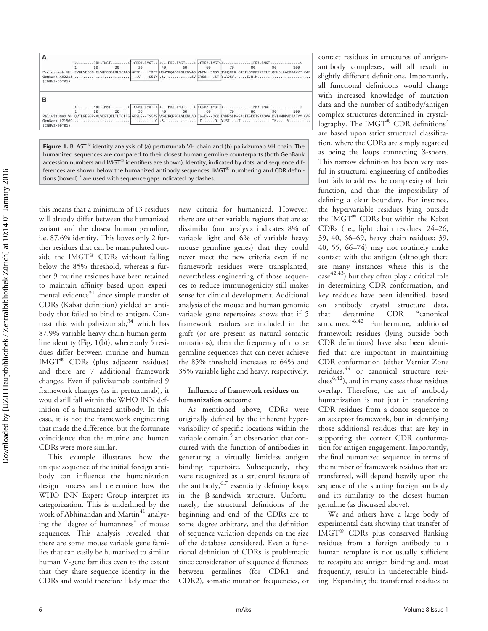| Pertuzumab VH EVOLVESGG-GLVOPGGSLRLSCAAS GFTF----TDYT MDWVROAPGKGLEWVAD VWPN--SGGS IIYNORFK-GRFTLSVDRSKNTLYLOMNSLRAEDTAVYY CAR<br>$(IGHV3-66*01)$ | 10 <sup>10</sup> | 20              | <--------FR1-IMGT--------> <cdr1-imgt-> &lt;---FR2-IMGT----&gt; <cdr2-imgt>&lt;--------------FR3-IMGT-------------&gt;<br/>30</cdr2-imgt></cdr1-imgt-> | 48     | $50 -$       | 68 | 78    | 80 | 98 | 100 |
|---------------------------------------------------------------------------------------------------------------------------------------------------|------------------|-----------------|--------------------------------------------------------------------------------------------------------------------------------------------------------|--------|--------------|----|-------|----|----|-----|
| в                                                                                                                                                 |                  |                 | -FR1-IMGT--------> <cdr1-imgt-> &lt;---FR2-IMGT----&gt; <cdr2-imgt>&lt;-------------FR3-IMGT-------------&gt;</cdr2-imgt></cdr1-imgt->                 |        |              |    |       |    |    |     |
| Palivizumab VH OVTLRESGP-ALVKPTOTLTLTCTFS GFSLS--TSGMS VGWIROPPGKALEWLAD IWWD---DKK DYNPSLK-SRLTISKDTSKNOVVLKVTNMDPADTATYY CAR                    | $10^{\circ}$     | 20 <sup>2</sup> | 30 <sup>2</sup>                                                                                                                                        | $40 -$ | $50^{\circ}$ | 68 | $70-$ | 80 | 98 | 188 |

**igure 1.** BLAST 8 identity analysis of (a) pertuzumab VH chain and (b) paliviz humanized sequences are compared to their closest human germline counterparts (both GenBank accession numbers and IMGT® identifiers are shown). Identity, indicated by dots, and sequence differences are shown below the humanized antibody sequences. IMGT<sup>®</sup> numbering and CDR definitions (boxed)<sup>7</sup> are used with sequence gaps indicated by dashes.

this means that a minimum of 13 residues will already differ between the humanized variant and the closest human germline, i.e. 87.6% identity. This leaves only 2 further residues that can be manipulated outside the  $IMGT^®$  CDRs without falling below the 85% threshold, whereas a further 9 murine residues have been retained to maintain affinity based upon experimental evidence $31$  since simple transfer of CDRs (Kabat definition) yielded an antibody that failed to bind to antigen. Contrast this with palivizumab,  $34$  which has 87.9% variable heavy chain human germline identity (Fig. 1(b)), where only 5 residues differ between murine and human  $IMGT^®$  CDRs (plus adjacent residues) and there are 7 additional framework changes. Even if palivizumab contained 9 framework changes (as in pertuzumab), it would still fall within the WHO INN definition of a humanized antibody. In this case, it is not the framework engineering that made the difference, but the fortunate coincidence that the murine and human CDRs were more similar.

This example illustrates how the unique sequence of the initial foreign antibody can influence the humanization design process and determine how the WHO INN Expert Group interpret its categorization. This is underlined by the work of Abhinandan and Martin<sup>41</sup> analyzing the "degree of humanness" of mouse sequences. This analysis revealed that there are some mouse variable gene families that can easily be humanized to similar human V-gene families even to the extent that they share sequence identity in the CDRs and would therefore likely meet the new criteria for humanized. However, there are other variable regions that are so dissimilar (our analysis indicates 8% of variable light and 6% of variable heavy mouse germline genes) that they could never meet the new criteria even if no framework residues were transplanted, nevertheless engineering of those sequences to reduce immunogenicity still makes sense for clinical development. Additional analysis of the mouse and human genomic variable gene repertoires shows that if 5 framework residues are included in the graft (or are present as natural somatic mutations), then the frequency of mouse germline sequences that can never achieve the 85% threshold increases to 64% and 35% variable light and heavy, respectively.

#### Influence of framework residues on humanization outcome

As mentioned above, CDRs were originally defined by the inherent hypervariability of specific locations within the variable domain, $5$  an observation that concurred with the function of antibodies in generating a virtually limitless antigen binding repertoire. Subsequently, they were recognized as a structural feature of the antibody,  $6.7$  essentially defining loops in the  $\beta$ -sandwich structure. Unfortunately, the structural definitions of the beginning and end of the CDRs are to some degree arbitrary, and the definition of sequence variation depends on the size of the database considered. Even a functional definition of CDRs is problematic since consideration of sequence differences between germlines (for CDR1 and CDR2), somatic mutation frequencies, or

contact residues in structures of antigenantibody complexes, will all result in slightly different definitions. Importantly, all functional definitions would change with increased knowledge of mutation data and the number of antibody/antigen complex structures determined in crystallography. The IMGT<sup>®</sup> CDR definitions<sup>7</sup> are based upon strict structural classification, where the CDRs are simply regarded as being the loops connecting  $\beta$ -sheets. This narrow definition has been very useful in structural engineering of antibodies but fails to address the complexity of their function, and thus the impossibility of defining a clear boundary. For instance, the hypervariable residues lying outside the IMGT® CDRs but within the Kabat CDRs (i.e., light chain residues: 24–26, 39, 40, 66–69, heavy chain residues: 39, 40, 55, 66–74) may not routinely make contact with the antigen (although there are many instances where this is the case $42,43)$  but they often play a critical role in determining CDR conformation, and key residues have been identified, based on antibody crystal structure data, that determine CDR "canonical structures."<sup>6,42</sup> Furthermore, additional framework residues (lying outside both CDR definitions) have also been identified that are important in maintaining CDR conformation (either Vernier Zone residues, <sup>44</sup> or canonical structure residues<sup>6,42</sup>), and in many cases these residues overlap. Therefore, the art of antibody humanization is not just in transferring CDR residues from a donor sequence to an acceptor framework, but in identifying those additional residues that are key in supporting the correct CDR conformation for antigen engagement. Importantly, the final humanized sequence, in terms of the number of framework residues that are transferred, will depend heavily upon the sequence of the starting foreign antibody and its similarity to the closest human germline (as discussed above).

We and others have a large body of experimental data showing that transfer of IMGT® CDRs plus conserved flanking residues from a foreign antibody to a human template is not usually sufficient to recapitulate antigen binding and, most frequently, results in undetectable binding. Expanding the transferred residues to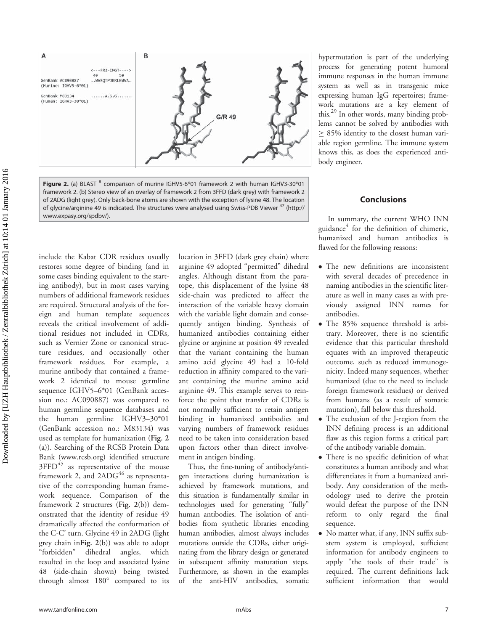



include the Kabat CDR residues usually restores some degree of binding (and in some cases binding equivalent to the starting antibody), but in most cases varying numbers of additional framework residues are required. Structural analysis of the foreign and human template sequences reveals the critical involvement of additional residues not included in CDRs, such as Vernier Zone or canonical structure residues, and occasionally other framework residues. For example, a murine antibody that contained a framework 2 identical to mouse germline sequence IGHV5–6\*01 (GenBank accession no.: AC090887) was compared to human germline sequence databases and the human germline IGHV3–30\*01 (GenBank accession no.: M83134) was used as template for humanization (Fig. 2 (a)). Searching of the RCSB Protein Data Bank (www.rcsb.org) identified structure  $3FFD<sup>45</sup>$  as representative of the mouse framework 2, and  $2ADG<sup>46</sup>$  as representative of the corresponding human framework sequence. Comparison of the framework 2 structures (Fig. 2(b)) demonstrated that the identity of residue 49 dramatically affected the conformation of the C-C' turn. Glycine 49 in 2ADG (light grey chain inFig. 2(b)) was able to adopt "forbidden" dihedral angles, which resulted in the loop and associated lysine 48 (side-chain shown) being twisted through almost  $180^\circ$  compared to its location in 3FFD (dark grey chain) where arginine 49 adopted "permitted" dihedral angles. Although distant from the paratope, this displacement of the lysine 48 side-chain was predicted to affect the interaction of the variable heavy domain with the variable light domain and consequently antigen binding. Synthesis of humanized antibodies containing either glycine or arginine at position 49 revealed that the variant containing the human amino acid glycine 49 had a 10-fold reduction in affinity compared to the variant containing the murine amino acid arginine 49. This example serves to reinforce the point that transfer of CDRs is not normally sufficient to retain antigen binding in humanized antibodies and varying numbers of framework residues need to be taken into consideration based upon factors other than direct involvement in antigen binding.

Thus, the fine-tuning of antibody/antigen interactions during humanization is achieved by framework mutations, and this situation is fundamentally similar in technologies used for generating "fully" human antibodies. The isolation of antibodies from synthetic libraries encoding human antibodies, almost always includes mutations outside the CDRs, either originating from the library design or generated in subsequent affinity maturation steps. Furthermore, as shown in the examples of the anti-HIV antibodies, somatic

hypermutation is part of the underlying process for generating potent humoral immune responses in the human immune system as well as in transgenic mice expressing human IgG repertoires; framework mutations are a key element of this.<sup>29</sup> In other words, many binding problems cannot be solved by antibodies with  $\geq$  85% identity to the closest human variable region germline. The immune system knows this, as does the experienced antibody engineer.

### Conclusions

In summary, the current WHO INN guidance $4$  for the definition of chimeric, humanized and human antibodies is flawed for the following reasons:

- The new definitions are inconsistent with several decades of precedence in naming antibodies in the scientific literature as well in many cases as with previously assigned INN names for antibodies.
- The 85% sequence threshold is arbitrary. Moreover, there is no scientific evidence that this particular threshold equates with an improved therapeutic outcome, such as reduced immunogenicity. Indeed many sequences, whether humanized (due to the need to include foreign framework residues) or derived from humans (as a result of somatic mutation), fall below this threshold.
- The exclusion of the J-region from the INN defining process is an additional flaw as this region forms a critical part of the antibody variable domain.
- There is no specific definition of what constitutes a human antibody and what differentiates it from a humanized antibody. Any consideration of the methodology used to derive the protein would defeat the purpose of the INN reform to only regard the final sequence.
- No matter what, if any, INN suffix substem system is employed, sufficient information for antibody engineers to apply "the tools of their trade" is required. The current definitions lack sufficient information that would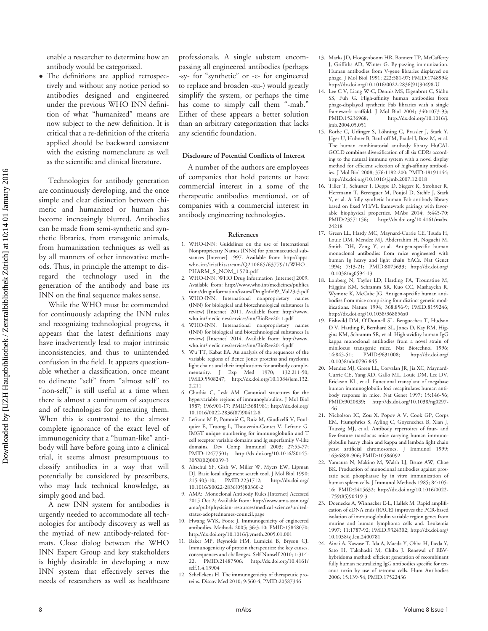enable a researcher to determine how an antibody would be categorized.

 The definitions are applied retrospectively and without any notice period so antibodies designed and engineered under the previous WHO INN definition of what "humanized" means are now subject to the new definition. It is critical that a re-definition of the criteria applied should be backward consistent with the existing nomenclature as well as the scientific and clinical literature.

Technologies for antibody generation are continuously developing, and the once simple and clear distinction between chimeric and humanized or human has become increasingly blurred. Antibodies can be made from semi-synthetic and synthetic libraries, from transgenic animals, from humanization techniques as well as by all manners of other innovative methods. Thus, in principle the attempt to disregard the technology used in the generation of the antibody and base its INN on the final sequence makes sense.

While the WHO must be commended for continuously adapting the INN rules and recognizing technological progress, it appears that the latest definitions may have inadvertently lead to major intrinsic inconsistencies, and thus to unintended confusion in the field. It appears questionable whether a classification, once meant to delineate "self" from "almost self" to "non-self," is still useful at a time when there is almost a continuum of sequences and of technologies for generating them. When this is contrasted to the almost complete ignorance of the exact level of immunogenicity that a "human-like" antibody will have before going into a clinical trial, it seems almost presumptuous to classify antibodies in a way that will potentially be considered by prescribers, who may lack technical knowledge, as simply good and bad.

A new INN system for antibodies is urgently needed to accommodate all technologies for antibody discovery as well as the myriad of new antibody-related formats. Close dialog between the WHO INN Expert Group and key stakeholders is highly desirable in developing a new INN system that effectively serves the needs of researchers as well as healthcare

professionals. A single substem encompassing all engineered antibodies (perhaps -sy- for "synthetic" or -e- for engineered to replace and broaden -zu-) would greatly simplify the system, or perhaps the time has come to simply call them "-mab." Either of these appears a better solution than an arbitrary categorization that lacks any scientific foundation.

#### Disclosure of Potential Conflicts of Interest

A number of the authors are employees of companies that hold patents or have commercial interest in a some of the therapeutic antibodies mentioned, or of companies with a commercial interest in antibody engineering technologies.

#### References

- 1. WHO-INN: Guidelines on the use of International Nonproprietary Names (INNs) for pharmaceutical substances [Internet] 1997. Available from: [http://apps.](http://apps.who.int/iris/bitstream/Q210665/63779/1/WHO_PHARM_S_NOM_1570.pdf) [who.int/iris/bitstream/Q210665/63779/1/WHO\\_](http://apps.who.int/iris/bitstream/Q210665/63779/1/WHO_PHARM_S_NOM_1570.pdf) [PHARM\\_S\\_NOM\\_1570.pdf](http://apps.who.int/iris/bitstream/Q210665/63779/1/WHO_PHARM_S_NOM_1570.pdf)
- 2. WHO-INN: WHO Drug Information [Internet] 2009. Available from: [http://www.who.int/medicines/publica](http://www.who.int/medicines/publications/druginformation/issues/DrugInfo09_Vol23-3.pdf) [tions/druginformation/issues/DrugInfo09\\_Vol23-3.pdf](http://www.who.int/medicines/publications/druginformation/issues/DrugInfo09_Vol23-3.pdf)
- 3. WHO-INN: International nonproprietary names (INN) for biological and biotechnological substances (a review) [Internet] 2011. Available from: [http://www.](http://www.who.int/medicines/services/inn/BioRev2011.pdf) [who.int/medicines/services/inn/BioRev2011.pdf](http://www.who.int/medicines/services/inn/BioRev2011.pdf)
- 4. WHO-INN: International nonproprietary names (INN) for biological and biotechnological substances (a review) [Internet] 2014. Available from: [http://www.](http://www.who.int/medicines/services/inn/BioRev2014.pdf) [who.int/medicines/services/inn/BioRev2014.pdf](http://www.who.int/medicines/services/inn/BioRev2014.pdf)
- 5. Wu TT, Kabat EA. An analysis of the sequences of the variable regions of Bence Jones proteins and myeloma light chains and their implications for antibody complementarity. J Exp Med 1970; 132:211-50; PMID:5508247; http://dx.doi.org/10.1084/jem.132. 2.211
- 6. Chothia C, Lesk AM. Canonical structures for the hypervariable regions of immunoglobulins. J Mol Biol 1987; 196:901-17; PMID:3681981; http://dx.doi.org/ 10.1016/0022-2836(87)90412-8
- 7. Lefranc M-P, Pommié C, Ruiz M, Giudicelli V, Foulquier E, Truong L, Thouvenin-Contet V, Lefranc G. IMGT unique numbering for immunoglobulin and T cell receptor variable domains and Ig superfamily V-like domains. Dev Comp Immunol 2003; 27:55-77; PMID:12477501; http://dx.doi.org/10.1016/S0145- 305X(02)00039-3
- 8. Altschul SF, Gish W, Miller W, Myers EW, Lipman DJ. Basic local alignment search tool. J Mol Biol 1990;<br>215-403-10: PMID:2231712: http://dx.doi.org/ http://dx.doi.org/ 10.1016/S0022-2836(05)80360-2
- 9. AMA: Monoclonal Antibody Rules.[Internet] Accessed 2015 Oct 2; Available from: [http://www.ama-assn.org/](http://www.ama-assn.org/ama/pub/physician-resources/medical-science/united-states-adoptednames-council.page) [ama/pub/physician-resources/medical-science/united](http://www.ama-assn.org/ama/pub/physician-resources/medical-science/united-states-adoptednames-council.page)[states-adoptednames-council.page](http://www.ama-assn.org/ama/pub/physician-resources/medical-science/united-states-adoptednames-council.page)
- 10. Hwang WYK, Foote J. Immunogenicity of engineered antibodies. Methods 2005; 36:3-10; PMID:15848070; http://dx.doi.org/10.1016/j.ymeth.2005.01.001
- 11. Baker MP, Reynolds HM, Lumicisi B, Bryson CJ. Immunogenicity of protein therapeutics: the key causes, consequences and challenges. Self Nonself 2010; 1:314- 22; PMID:21487506; http://dx.doi.org/10.4161/ self.1.4.13904
- 12. Schellekens H. The immunogenicity of therapeutic proteins. Discov Med 2010; 9:560-4; PMID:20587346
- 13. Marks JD, Hoogenboom HR, Bonnert TP, McCafferty J, Griffiths AD, Winter G. By-passing immunization. Human antibodies from V-gene libraries displayed on phage. J Mol Biol 1991; 222:581-97; PMID:1748994; http://dx.doi.org/10.1016/0022-2836(91)90498-U
- 14. Lee C V, Liang W-C, Dennis MS, Eigenbrot C, Sidhu SS, Fuh G. High-affinity human antibodies from phage-displayed synthetic Fab libraries with a single framework scaffold. J Mol Biol 2004; 340:1073-93;<br>PMID:15236968; http://dx.doi.org/10.1016/j. http://dx.doi.org/10.1016/j. jmb.2004.05.051
- 15. Rothe C, Urlinger S, Löhning C, Prassler J, Stark Y, Jäger U, Hubner B, Bardroff M, Pradel I, Boss M, et al. The human combinatorial antibody library HuCAL GOLD combines diversification of all six CDRs according to the natural immune system with a novel display method for efficient selection of high-affinity antibodies. J Mol Biol 2008; 376:1182-200; PMID:18191144; http://dx.doi.org/10.1016/j.jmb.2007.12.018
- 16. Tiller T, Schuster I, Deppe D, Siegers K, Strohner R, Herrmann T, Berenguer M, Poujol D, Stehle J, Stark Y, et al. A fully synthetic human Fab antibody library based on fixed VH/VL framework pairings with favorable biophysical properties. MAbs 2014; 5:445-70; PMID:23571156; http://dx.doi.org/10.4161/mabs. 24218
- 17. Green LL, Hardy MC, Maynard-Currie CE, Tsuda H, Louie DM, Mendez MJ, Abderrahim H, Noguchi M, Smith DH, Zeng Y, et al. Antigen-specific human monoclonal antibodies from mice engineered with human Ig heavy and light chain YACs. Nat Genet 1994; 7:13-21; PMID:8075633; http://dx.doi.org/ 10.1038/ng0594-13
- 18. Lonberg N, Taylor LD, Harding FA, Trounstine M, Higgins KM, Schramm SR, Kuo CC, Mashayekh R, Wymore K, McCabe JG. Antigen-specific human antibodies from mice comprising four distinct genetic modifications. Nature 1994; 368:856-9; PMID:8159246; http://dx.doi.org/10.1038/368856a0
- 19. Fishwild DM, O'Donnell SL, Bengoechea T, Hudson D V, Harding F, Bernhard SL, Jones D, Kay RM, Higgins KM, Schramm SR, et al. High-avidity human IgG kappa monoclonal antibodies from a novel strain of minilocus transgenic mice. Nat Biotechnol 1996; 14:845-51; PMID:9631008; http://dx.doi.org/ 10.1038/nbt0796-845
- 20. Mendez MJ, Green LL, Corvalan JR, Jia XC, Maynard-Currie CE, Yang XD, Gallo ML, Louie DM, Lee DV, Erickson KL, et al. Functional transplant of megabase human immunoglobulin loci recapitulates human antibody response in mice. Nat Genet 1997; 15:146-56; PMID:9020839; http://dx.doi.org/10.1038/ng0297- 146
- 21. Nicholson IC, Zou X, Popov A V, Cook GP, Corps EM, Humphries S, Ayling C, Goyenechea B, Xian J, Taussig MJ, et al. Antibody repertoires of four- and five-feature translocus mice carrying human immunoglobulin heavy chain and kappa and lambda light chain yeast artificial chromosomes. J Immunol 1999; 163:6898-906; PMID:10586092
- 22. Yamaura N, Makino M, Walsh LJ, Bruce AW, Choe BK. Production of monoclonal antibodies against prostatic acid phosphatase by in vitro immunization of human spleen cells. J Immunol Methods 1985; 84:105- 16; PMID:2415632; http://dx.doi.org/10.1016/0022- 1759(85)90419-3
- 23. Doenecke A, Winnacker E-L, Hallek M. Rapid amplification of cDNA ends (RACE) improves the PCR-based isolation of immunoglobulin variable region genes from murine and human lymphoma cells and. Leukemia 1997; 11:1787-92; PMID:9324302; http://dx.doi.org/ 10.1038/sj.leu.2400781
- 24. Ainai A, Kawase T, Ida A, Maeda Y, Ohba H, Ikeda Y, Sato H, Takahashi M, Chiba J. Renewal of EBVhybridoma method: efficient generation of recombinant fully human neutralizing IgG antibodies specific for tetanus toxin by use of tetroma cells. Hum Antibodies 2006; 15:139-54; PMID:17522436